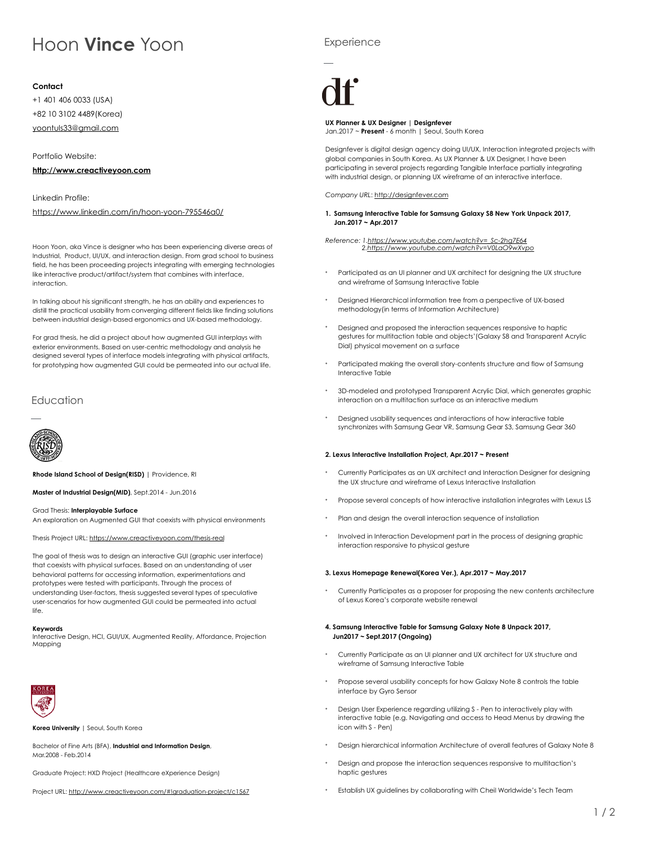# Hoon **Vince** Yoon

Hoon Yoon, aka Vince is designer who has been experiencing diverse areas of Industrial, Product, UI/UX, and interaction design. From grad school to business field, he has been proceeding projects integrating with emerging technologies like interactive product/artifact/system that combines with interface, interaction.

In talking about his significant strength, he has an ability and experiences to distill the practical usability from converging different fields like finding solutions between industrial design-based ergonomics and UX-based methodology.

For grad thesis, he did a project about how augmented GUI interplays with exterior environments. Based on user-centric methodology and analysis he designed several types of interface models integrating with physical artifacts, for prototyping how augmented GUI could be permeated into our actual life.

# **Education**



## **Contact**

+1 401 406 0033 (USA) +82 10 3102 4489(Korea) [yoontuls33@gmail.com](mailto:yoontuls33@gmail.com)

Portfolio Website:

## **<http://www.creactiveyoon.com>**

Linkedin Profile:

<https://www.linkedin.com/in/hoon-yoon-795546a0/>

**Rhode Island School of Design(RISD)** | Providence, RI

**Master of Industrial Design(MID)**, Sept.2014 - Jun.2016

## Grad Thesis: **Interplayable Surface**

An exploration on Augmented GUI that coexists with physical environments

# **Experience**



Thesis Project URL:<https://www.creactiveyoon.com/thesis-real>

The goal of thesis was to design an interactive GUI (graphic user interface) that coexists with physical surfaces. Based on an understanding of user behavioral patterns for accessing information, experimentations and prototypes were tested with participants. Through the process of understanding User-factors, thesis suggested several types of speculative user-scenarios for how augmented GUI could be permeated into actual life.

#### **Keywords**

Interactive Design, HCI, GUI/UX, Augmented Reality, Affordance, Projection Mapping



**Korea University** | Seoul, South Korea

Bachelor of Fine Arts (BFA), **Industrial and Information Design**, Mar.2008 - Feb.2014

- Currently Participates as an UX architect and Interaction Designer for designing the UX structure and wireframe of Lexus Interactive Installation
- Propose several concepts of how interactive installation integrates with Lexus LS
- \* Plan and design the overall interaction sequence of installation

Involved in Interaction Development part in the process of designing graphic interaction responsive to physical gesture

Graduate Project: HXD Project (Healthcare eXperience Design)

Project URL:<http://www.creactiveyoon.com/#!graduation-project/c1567>

Currently Participates as a proposer for proposing the new contents architecture of Lexus Korea's corporate website renewal

- \* Currently Participate as an UI planner and UX architect for UX structure and wireframe of Samsung Interactive Table
- Propose several usability concepts for how Galaxy Note 8 controls the table interface by Gyro Sensor
- Design User Experience regarding utilizing S Pen to interactively play with interactive table (e.g. Navigating and access to Head Menus by drawing the icon with S - Pen)
- Design hierarchical information Architecture of overall features of Galaxy Note 8
- Design and propose the interaction sequences responsive to multitaction's haptic gestures
- Establish UX guidelines by collaborating with Cheil Worldwide's Tech Team

**UX Planner & UX Designer | Designfever**  Jan.2017 ~ **Present** - 6 month | Seoul, South Korea

Designfever is digital design agency doing UI/UX, Interaction integrated projects with global companies in South Korea. As UX Planner & UX Designer, I have been participating in several projects regarding Tangible Interface partially integrating with industrial design, or planning UX wireframe of an interactive interface.

*Company URL*:<http://designfever.com>

### **1. Samsung Interactive Table for Samsung Galaxy S8 New York Unpack 2017, Jan.2017 ~ Apr.2017**

*Reference: 1[.https://www.youtube.com/watch?v=\\_Sc-2hg7E64](https://www.youtube.com/watch?v=_Sc-2hg7E64) 2[.https://www.youtube.com/watch?v=V0LaO9wXvpo](https://www.youtube.com/watch?v=V0LaO9wXvpo)*

- \* Participated as an UI planner and UX architect for designing the UX structure and wireframe of Samsung Interactive Table
- Designed Hierarchical information tree from a perspective of UX-based methodology(in terms of Information Architecture)
- Designed and proposed the interaction sequences responsive to haptic gestures for multitaction table and objects'(Galaxy S8 and Transparent Acrylic Dial) physical movement on a surface
- Participated making the overall story-contents structure and flow of Samsung Interactive Table
- 3D-modeled and prototyped Transparent Acrylic Dial, which generates graphic interaction on a multitaction surface as an interactive medium
- Designed usability sequences and interactions of how interactive table synchronizes with Samsung Gear VR, Samsung Gear S3, Samsung Gear 360

## **2. Lexus Interactive Installation Project, Apr.2017 ~ Present**

#### **3. Lexus Homepage Renewal(Korea Ver.), Apr.2017 ~ May.2017**

### **4. Samsung Interactive Table for Samsung Galaxy Note 8 Unpack 2017, Jun2017 ~ Sept.2017 (Ongoing)**